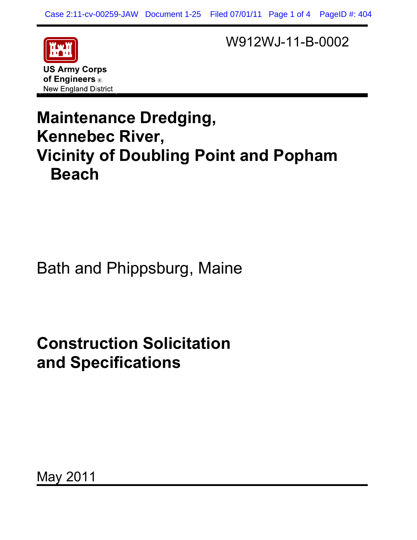

of Engineers ® **New England District** 

e

W912WJ-11-B-0002

## **Maintenance Dredging, Kennebec River, Vicinity of Doubling Point and Popham Beach**

### Bath and Phippsburg, Maine

# **Construction Solicitation and Specifications**

May 2011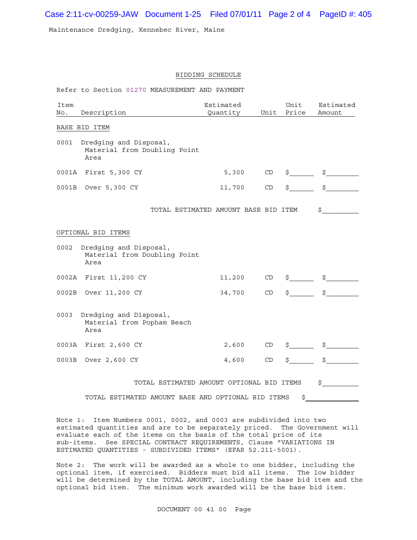Case 2:11-cv-00259-JAW Document 1-25 Filed 07/01/11 Page 2 of 4 PageID #: 405

Maintenance Dredging, Kennebec River, Maine

#### BIDDING SCHEDULE

| Item<br>No. | Description                                                    | Estimated<br>Quantity                | Unit | Unit<br>Price       | Estimated<br>Amount                                                                                                                                                                                                                                                                                                                                 |
|-------------|----------------------------------------------------------------|--------------------------------------|------|---------------------|-----------------------------------------------------------------------------------------------------------------------------------------------------------------------------------------------------------------------------------------------------------------------------------------------------------------------------------------------------|
|             | BASE BID ITEM                                                  |                                      |      |                     |                                                                                                                                                                                                                                                                                                                                                     |
| 0001        | Dredging and Disposal,<br>Material from Doubling Point<br>Area |                                      |      |                     |                                                                                                                                                                                                                                                                                                                                                     |
| 0001A       | First 5,300 CY                                                 | 5,300                                | CD   | $\frac{1}{2}$       | $\mathrm{s}_{\_\_\_\_\_\_}$                                                                                                                                                                                                                                                                                                                         |
|             | 0001B Over 5,300 CY                                            | 11,700                               | CD   | $\ddot{\mathsf{S}}$ | $\sharp$                                                                                                                                                                                                                                                                                                                                            |
|             |                                                                | TOTAL ESTIMATED AMOUNT BASE BID ITEM |      |                     | \$                                                                                                                                                                                                                                                                                                                                                  |
|             | OPTIONAL BID ITEMS                                             |                                      |      |                     |                                                                                                                                                                                                                                                                                                                                                     |
| 0002        | Dredging and Disposal,<br>Material from Doubling Point<br>Area |                                      |      |                     |                                                                                                                                                                                                                                                                                                                                                     |
|             | 0002A First 11,200 CY                                          | 11,200                               | CD   | $\ddot{\mathsf{S}}$ | $\begin{picture}(20,20) \put(0,0){\line(1,0){10}} \put(15,0){\line(1,0){10}} \put(15,0){\line(1,0){10}} \put(15,0){\line(1,0){10}} \put(15,0){\line(1,0){10}} \put(15,0){\line(1,0){10}} \put(15,0){\line(1,0){10}} \put(15,0){\line(1,0){10}} \put(15,0){\line(1,0){10}} \put(15,0){\line(1,0){10}} \put(15,0){\line(1,0){10}} \put(15,0){\line(1$ |
|             | 0002B Over 11,200 CY                                           | 34,700                               | CD   | $\sharp$            | $\ddot{s}$                                                                                                                                                                                                                                                                                                                                          |
| 0003        | Dredging and Disposal,<br>Material from Popham Beach<br>Area   |                                      |      |                     |                                                                                                                                                                                                                                                                                                                                                     |
|             | 0003A First 2,600 CY                                           | 2,600                                | CD   | $\sharp$            | $\frac{1}{2}$                                                                                                                                                                                                                                                                                                                                       |
|             | 0003B Over 2,600 CY                                            | 4,600                                | CD   | \$                  | $\sharp$                                                                                                                                                                                                                                                                                                                                            |
|             | TOTAL ESTIMATED AMOUNT OPTIONAL BID ITEMS                      |                                      |      |                     | \$                                                                                                                                                                                                                                                                                                                                                  |
|             | TOTAL ESTIMATED AMOUNT BASE AND OPTIONAL BID ITEMS             |                                      |      | \$                  |                                                                                                                                                                                                                                                                                                                                                     |

Note 1: Item Numbers 0001, 0002, and 0003 are subdivided into two estimated quantities and are to be separately priced. The Government will evaluate each of the items on the basis of the total price of its sub-items. See SPECIAL CONTRACT REQUIREMENTS, Clause "VARIATIONS IN ESTIMATED QUANTITIES - SUBDIVIDED ITEMS" (EFAR 52.211-5001).

Note 2: The work will be awarded as a whole to one bidder, including the optional item, if exercised. Bidders must bid all items. The low bidder will be determined by the TOTAL AMOUNT, including the base bid item and the optional bid item. The minimum work awarded will be the base bid item.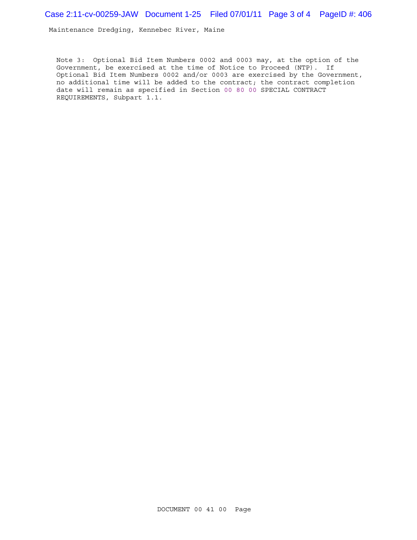Case 2:11-cv-00259-JAW Document 1-25 Filed 07/01/11 Page 3 of 4 PageID #: 406

Maintenance Dredging, Kennebec River, Maine

Note 3: Optional Bid Item Numbers 0002 and 0003 may, at the option of the Government, be exercised at the time of Notice to Proceed (NTP). If Optional Bid Item Numbers 0002 and/or 0003 are exercised by the Government, no additional time will be added to the contract; the contract completion date will remain as specified in Section 00 80 00 SPECIAL CONTRACT REQUIREMENTS, Subpart 1.1.